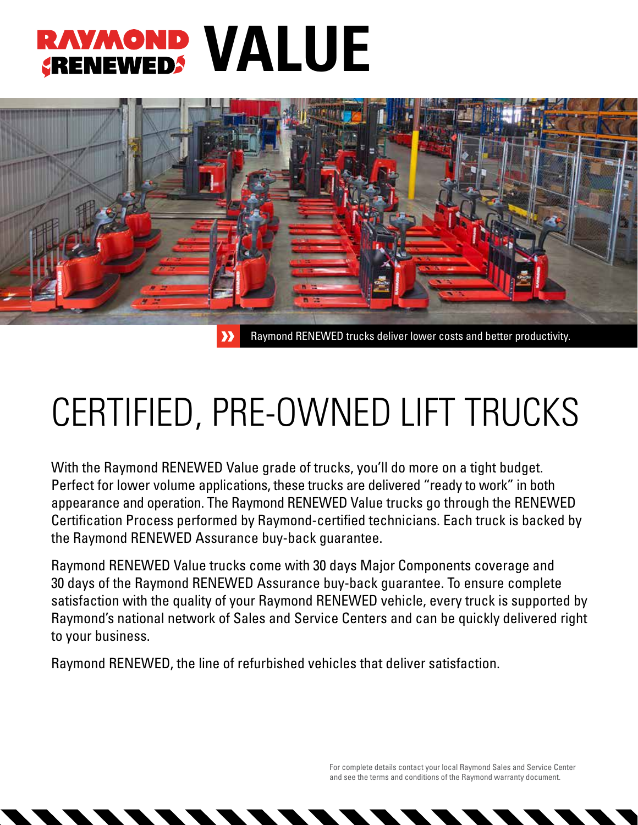## **RAYMOND VALUE**



## CERTIFIED, PRE-OWNED LIFT TRUCKS

With the Raymond RENEWED Value grade of trucks, you'll do more on a tight budget. Perfect for lower volume applications, these trucks are delivered "ready to work" in both appearance and operation. The Raymond RENEWED Value trucks go through the RENEWED Certification Process performed by Raymond-certified technicians. Each truck is backed by the Raymond RENEWED Assurance buy-back guarantee.

Raymond RENEWED Value trucks come with 30 days Major Components coverage and 30 days of the Raymond RENEWED Assurance buy-back guarantee. To ensure complete satisfaction with the quality of your Raymond RENEWED vehicle, every truck is supported by Raymond's national network of Sales and Service Centers and can be quickly delivered right to your business.

Raymond RENEWED, the line of refurbished vehicles that deliver satisfaction.

For complete details contact your local Raymond Sales and Service Center and see the terms and conditions of the Raymond warranty document.